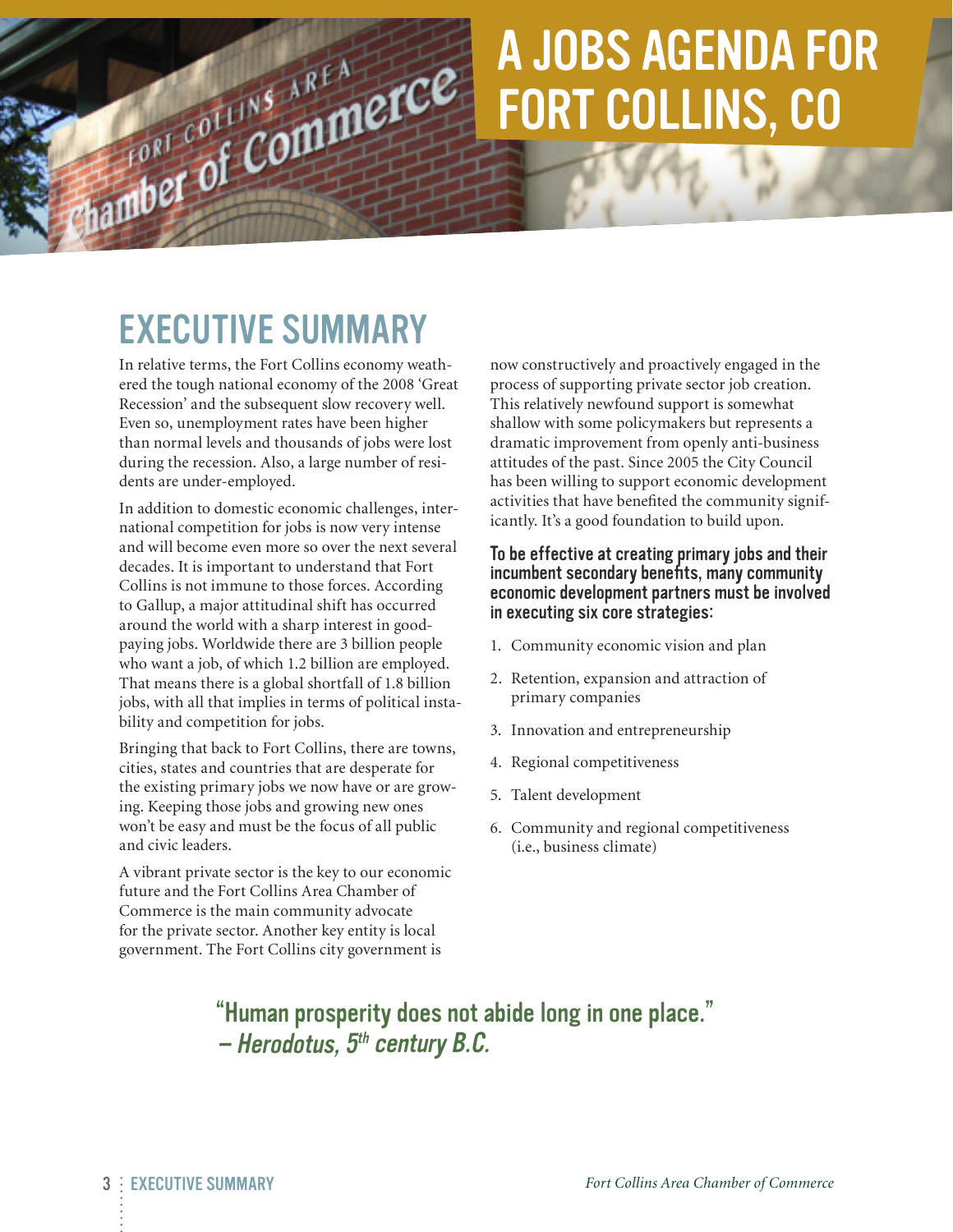# A Jobs Agenda for Fort Collins, CO

# Executive Summary

Chamber of Commerce

In relative terms, the Fort Collins economy weathered the tough national economy of the 2008 'Great Recession' and the subsequent slow recovery well. Even so, unemployment rates have been higher than normal levels and thousands of jobs were lost during the recession. Also, a large number of residents are under-employed.

In addition to domestic economic challenges, international competition for jobs is now very intense and will become even more so over the next several decades. It is important to understand that Fort Collins is not immune to those forces. According to Gallup, a major attitudinal shift has occurred around the world with a sharp interest in goodpaying jobs. Worldwide there are 3 billion people who want a job, of which 1.2 billion are employed. That means there is a global shortfall of 1.8 billion jobs, with all that implies in terms of political instability and competition for jobs.

Bringing that back to Fort Collins, there are towns, cities, states and countries that are desperate for the existing primary jobs we now have or are growing. Keeping those jobs and growing new ones won't be easy and must be the focus of all public and civic leaders.

A vibrant private sector is the key to our economic future and the Fort Collins Area Chamber of Commerce is the main community advocate for the private sector. Another key entity is local government. The Fort Collins city government is

now constructively and proactively engaged in the process of supporting private sector job creation. This relatively newfound support is somewhat shallow with some policymakers but represents a dramatic improvement from openly anti-business attitudes of the past. Since 2005 the City Council has been willing to support economic development activities that have benefited the community significantly. It's a good foundation to build upon.

#### To be effective at creating primary jobs and their incumbent secondary benefits, many community economic development partners must be involved in executing six core strategies:

- 1. Community economic vision and plan
- 2. Retention, expansion and attraction of primary companies
- 3. Innovation and entrepreneurship
- 4. Regional competitiveness
- 5. Talent development
- 6. Community and regional competitiveness (i.e., business climate)

# "Human prosperity does not abide long in one place."  $-$  Herodotus,  $5<sup>th</sup>$  century B.C.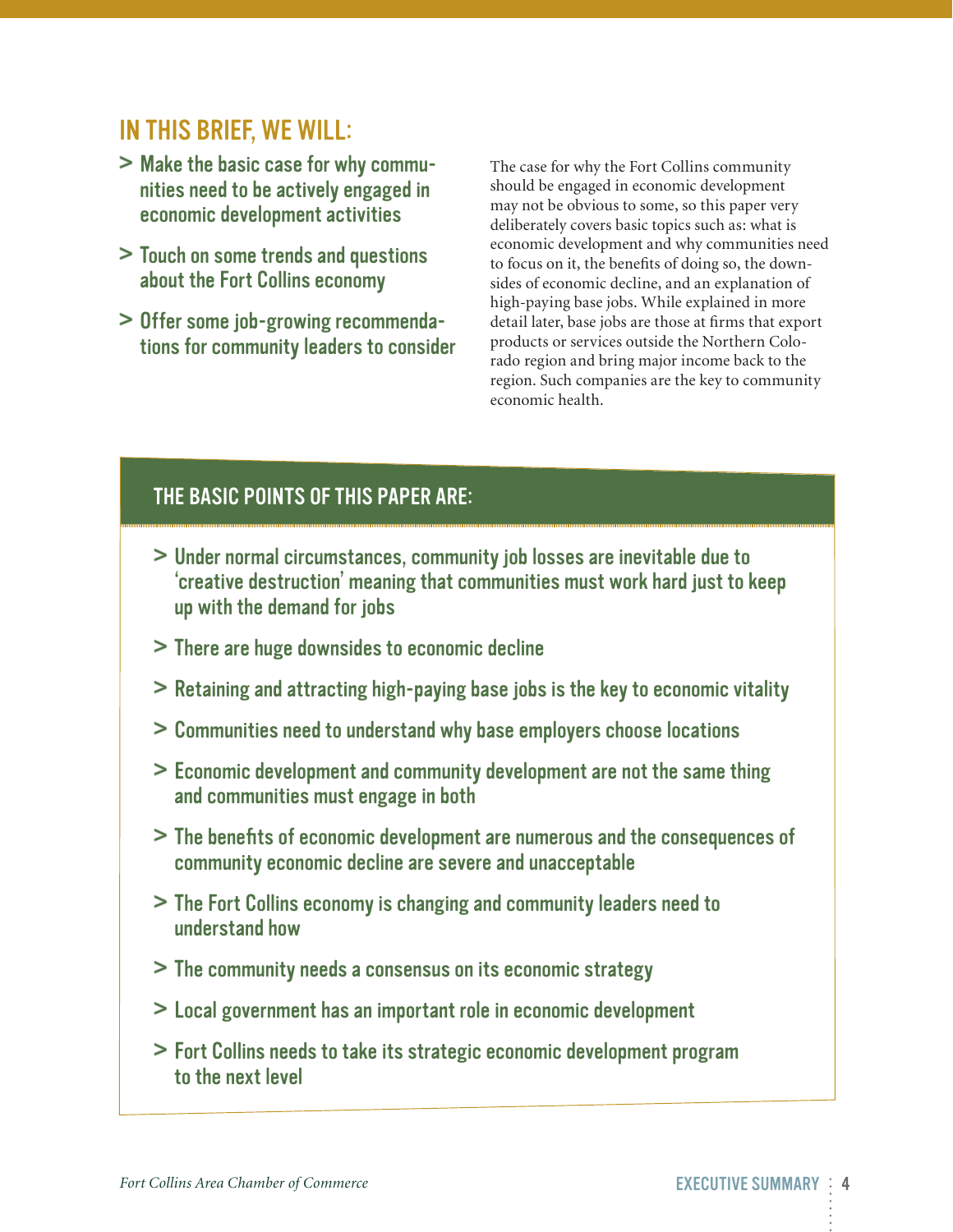# In this brief, we Will:

- > Make the basic case for why communities need to be actively engaged in economic development activities
- > Touch on some trends and questions about the Fort Collins economy
- > Offer some job-growing recommendations for community leaders to consider

The case for why the Fort Collins community should be engaged in economic development may not be obvious to some, so this paper very deliberately covers basic topics such as: what is economic development and why communities need to focus on it, the benefits of doing so, the downsides of economic decline, and an explanation of high-paying base jobs. While explained in more detail later, base jobs are those at firms that export products or services outside the Northern Colorado region and bring major income back to the region. Such companies are the key to community economic health.

#### The basic points of this paper are:

- > Under normal circumstances, community job losses are inevitable due to 'creative destruction' meaning that communities must work hard just to keep up with the demand for jobs
- > There are huge downsides to economic decline
- > Retaining and attracting high-paying base jobs is the key to economic vitality
- > Communities need to understand why base employers choose locations
- > Economic development and community development are not the same thing and communities must engage in both
- > The benefits of economic development are numerous and the consequences of community economic decline are severe and unacceptable
- > The Fort Collins economy is changing and community leaders need to understand how
- > The community needs a consensus on its economic strategy
- > Local government has an important role in economic development
- > Fort Collins needs to take its strategic economic development program to the next level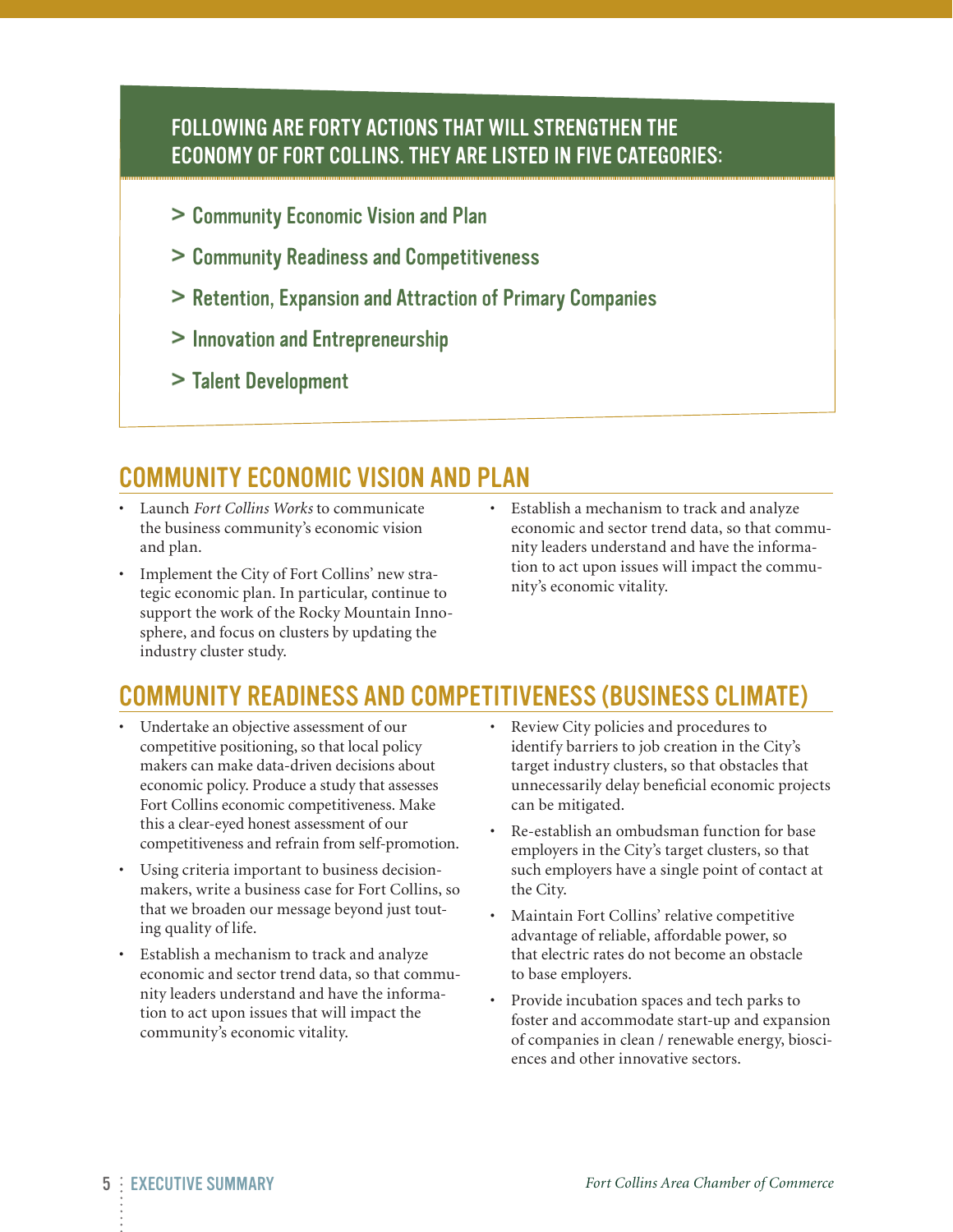#### Following are forty actions that will strengthen the economy of Fort Collins. They are listed in five categories:

- > Community Economic Vision and Plan
- > Community Readiness and Competitiveness
- > Retention, Expansion and Attraction of Primary Companies
- > Innovation and Entrepreneurship
- > Talent Development

### Community Economic Vision and Plan

- • Launch *Fort Collins Works* to communicate the business community's economic vision and plan.
- Implement the City of Fort Collins' new strategic economic plan. In particular, continue to support the work of the Rocky Mountain Innosphere, and focus on clusters by updating the industry cluster study.
- • Establish a mechanism to track and analyze economic and sector trend data, so that community leaders understand and have the information to act upon issues will impact the community's economic vitality.

#### Community Readiness and Competitiveness (Business Climate)

- • Undertake an objective assessment of our competitive positioning, so that local policy makers can make data-driven decisions about economic policy. Produce a study that assesses Fort Collins economic competitiveness. Make this a clear-eyed honest assessment of our competitiveness and refrain from self-promotion.
- Using criteria important to business decisionmakers, write a business case for Fort Collins, so that we broaden our message beyond just touting quality of life.
- • Establish a mechanism to track and analyze economic and sector trend data, so that community leaders understand and have the information to act upon issues that will impact the community's economic vitality.
- Review City policies and procedures to identify barriers to job creation in the City's target industry clusters, so that obstacles that unnecessarily delay beneficial economic projects can be mitigated.
- Re-establish an ombudsman function for base employers in the City's target clusters, so that such employers have a single point of contact at the City.
- Maintain Fort Collins' relative competitive advantage of reliable, affordable power, so that electric rates do not become an obstacle to base employers.
- Provide incubation spaces and tech parks to foster and accommodate start-up and expansion of companies in clean / renewable energy, biosciences and other innovative sectors.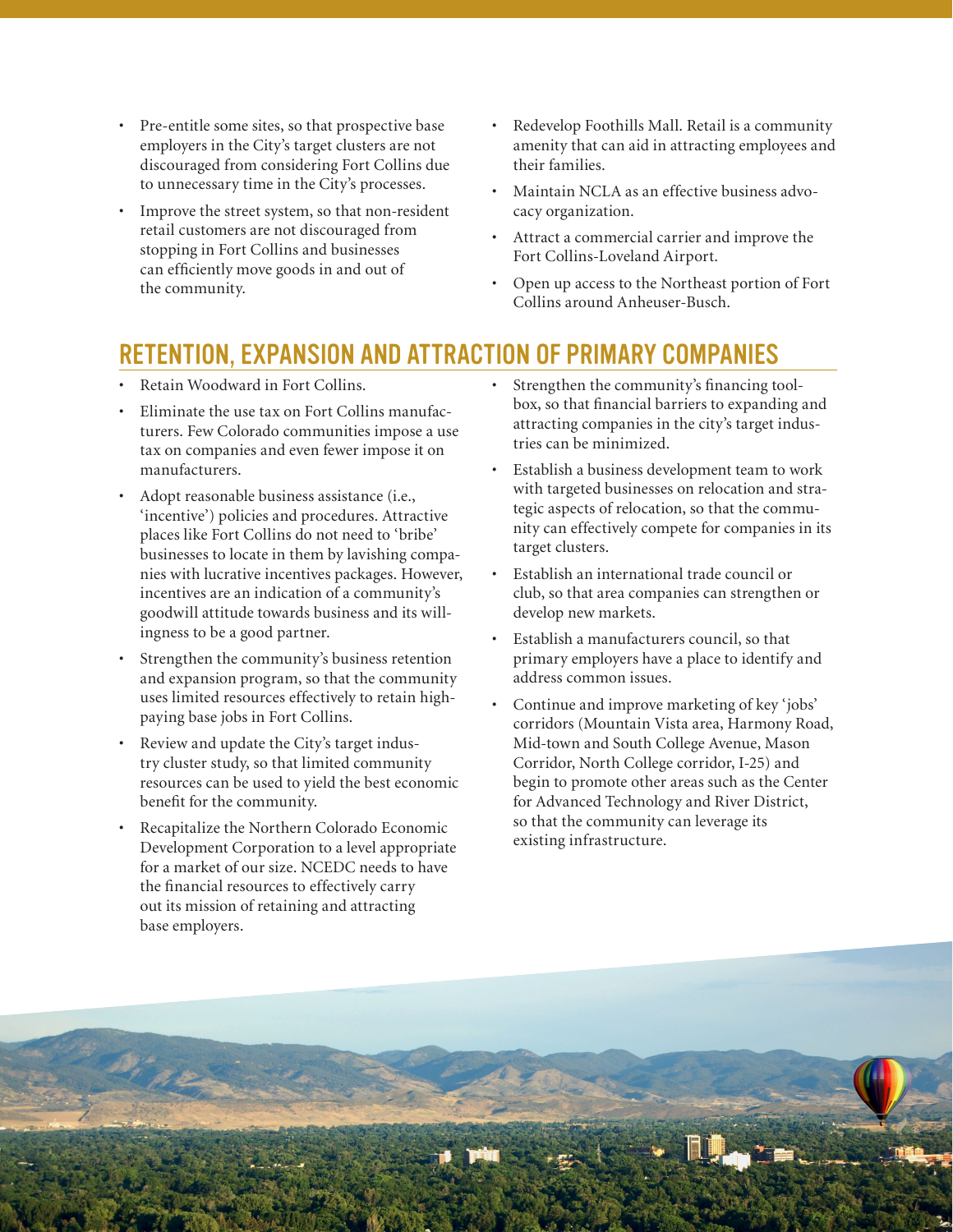- • Pre-entitle some sites, so that prospective base employers in the City's target clusters are not discouraged from considering Fort Collins due to unnecessary time in the City's processes.
- • Improve the street system, so that non-resident retail customers are not discouraged from stopping in Fort Collins and businesses can efficiently move goods in and out of the community.
- Redevelop Foothills Mall. Retail is a community amenity that can aid in attracting employees and their families.
- Maintain NCLA as an effective business advocacy organization.
- • Attract a commercial carrier and improve the Fort Collins-Loveland Airport.
- Open up access to the Northeast portion of Fort Collins around Anheuser-Busch.

# Retention, Expansion and Attraction of Primary Companies

- Retain Woodward in Fort Collins.
- Eliminate the use tax on Fort Collins manufacturers. Few Colorado communities impose a use tax on companies and even fewer impose it on manufacturers.
- Adopt reasonable business assistance (i.e., 'incentive') policies and procedures. Attractive places like Fort Collins do not need to 'bribe' businesses to locate in them by lavishing companies with lucrative incentives packages. However, incentives are an indication of a community's goodwill attitude towards business and its willingness to be a good partner.
- Strengthen the community's business retention and expansion program, so that the community uses limited resources effectively to retain highpaying base jobs in Fort Collins.
- • Review and update the City's target industry cluster study, so that limited community resources can be used to yield the best economic benefit for the community.
- • Recapitalize the Northern Colorado Economic Development Corporation to a level appropriate for a market of our size. NCEDC needs to have the financial resources to effectively carry out its mission of retaining and attracting base employers.
- Strengthen the community's financing toolbox, so that financial barriers to expanding and attracting companies in the city's target industries can be minimized.
- • Establish a business development team to work with targeted businesses on relocation and strategic aspects of relocation, so that the community can effectively compete for companies in its target clusters.
- Establish an international trade council or club, so that area companies can strengthen or develop new markets.
- Establish a manufacturers council, so that primary employers have a place to identify and address common issues.
- Continue and improve marketing of key 'jobs' corridors (Mountain Vista area, Harmony Road, Mid-town and South College Avenue, Mason Corridor, North College corridor, I-25) and begin to promote other areas such as the Center for Advanced Technology and River District, so that the community can leverage its existing infrastructure.